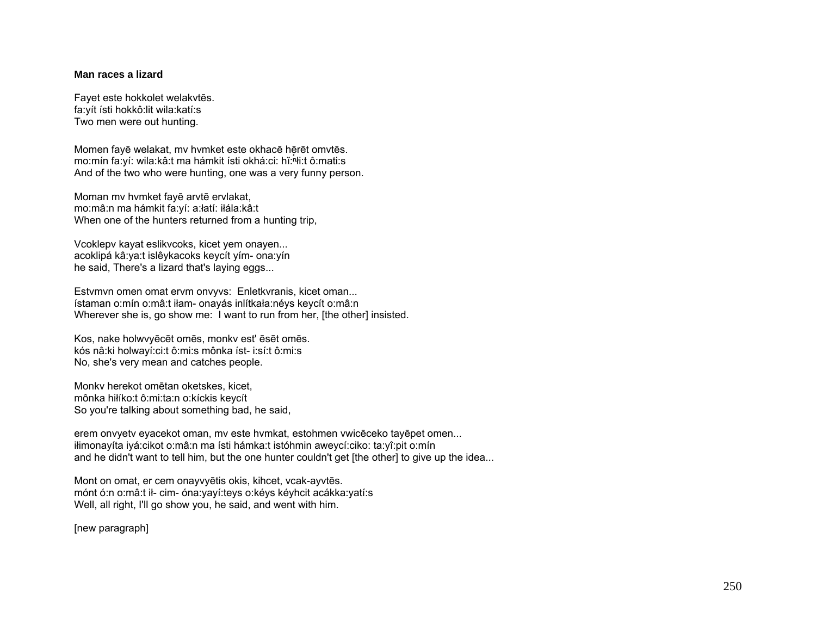## **Man races a lizard**

Fayet este hokkolet welakvtēs. fa:yít ísti hokkô:lit wila:katí:s Two men were out hunting.

Momen fayē welakat, my hymket este okhacē hērēt omvtēs. mo:mín fa:yí: wila:kâ:t ma hámkit ísti okhá:ci: hǐ: hti:t ô:mati:s And of the two who were hunting, one was a very funny person.

Moman mv hvmket fayē arvtē ervlakat, mo:mâ:n ma hámkit fa:yí: a:łatí: iłála:kâ:t When one of the hunters returned from a hunting trip,

Vcoklepv kayat eslikvcoks, kicet yem onayen... acoklipá kâ:ya:t islêykacoks keycít yím- ona:yín he said, There's a lizard that's laying eggs...

Estvmvn omen omat ervm onvyvs: Enletkvranis, kicet oman... ístaman o:mín o:mâ:t iłam- onayás inlítkała:néys keycít o:mâ:n Wherever she is, go show me: I want to run from her, [the other] insisted.

Kos, nake holwvyēcēt omēs, monkv est' ēsēt omēs. kós nâ:ki holwayí:ci:t ô:mi:s mônka íst- i:sí:t ô:mi:s No, she's very mean and catches people.

Monkv herekot omētan oketskes, kicet, mônka hiłíko:t ô:mi:ta:n o:kíckis keycít So you're talking about something bad, he said,

erem onvyetv eyacekot oman, mv este hvmkat, estohmen vwicēceko tayēpet omen... iłimonayíta iyá:cikot o:mâ:n ma ísti hámka:t istóhmin aweycí:ciko: ta:yî:pit o:mín and he didn't want to tell him, but the one hunter couldn't get [the other] to give up the idea...

Mont on omat, er cem onayvyētis okis, kihcet, vcak-ayvtēs. mónt ó:n o:mâ:t ił- cim- óna:yayí:teys o:kéys kéyhcit acákka:yatí:s Well, all right, I'll go show you, he said, and went with him.

[new paragraph]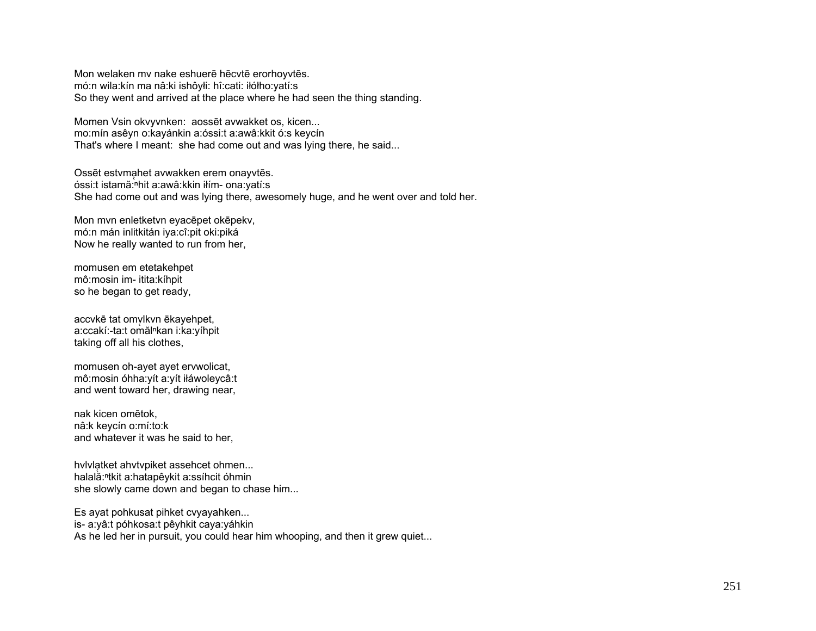Mon welaken mv nake eshuerē hēcvtē erorhoyvtēs. mó:n wila:kín ma nâ:ki ishôyłi: hî:cati: iłółho:yatí:s So they went and arrived at the place where he had seen the thing standing.

Momen Vsin okvyvnken: aossēt avwakket os, kicen... mo:mín asêyn o:kayánkin a:óssi:t a:awâ:kkit ó:s keycín That's where I meant: she had come out and was lying there, he said...

Ossēt estymahet avwakken erem onayytēs. óssi:t istamă: nhit a: awâ: kkin iłím- ona: yatí: s She had come out and was lying there, awesomely huge, and he went over and told her.

Mon mvn enletketvn eyacepet okepekv, mó:n mán inlitkitán iya:cî:pit oki:piká Now he really wanted to run from her.

momusen em etetakehpet mô: mosin im- itita: kíhpit so he began to get ready,

accvkē tat omvlkvn ēkayehpet, a:ccakí:-ta:t omăl<sup>n</sup>kan i:ka:yíhpit taking off all his clothes,

momusen oh-ayet ayet ervwolicat, mô:mosin óhha: yít a: yít iłáwoleycâ:t and went toward her, drawing near,

nak kicen omētok, nâ:k keycín o:mí:to:k and whatever it was he said to her.

hylylatket ahytypiket assehcet ohmen... halală:<sup>n</sup>tkit a:hatapêykit a:ssíhcit óhmin she slowly came down and began to chase him...

Es ayat pohkusat pihket cvyayahken... is- a: vâ: t póhkosa: t pê vhkit ca va: váhkin As he led her in pursuit, you could hear him whooping, and then it grew quiet...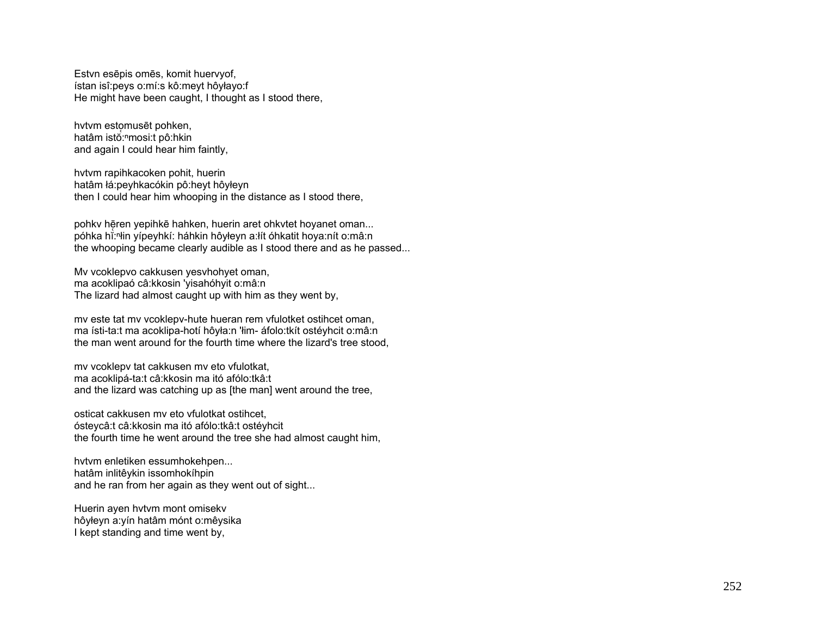Estvn esēpis omēs, komit huervyof, ístan isî: peys o: mí: s kô: meyt hôyłayo: f He might have been caught. I thought as I stood there.

hytym estomusēt pohken. hatâm istŏ:<sup>n</sup>mosi:t pô:hkin and again I could hear him faintly,

hytym rapihkacoken pohit, huerin hatâm łá: peyhkacókin pô: heyt hôyłeyn then I could hear him whooping in the distance as I stood there,

pohky hēren yepihkē hahken, huerin aret ohkytet hoyanet oman... póhka hř:<sup>n</sup>iin vípeyhkí: háhkin hôyleyn a:lít óhkatit hoya:nít o:mâ:n the whooping became clearly audible as I stood there and as he passed...

My vcoklepvo cakkusen yesyhohyet oman, ma acoklipaó câ: kkosin 'yisahóhyit o: mâ: n The lizard had almost caught up with him as they went by,

my este tat my vcoklepy-hute hueran rem vfulotket ostihcet oman, ma ísti-ta:t ma acoklipa-hotí hôyła:n 'łim- áfolo:tkít ostéyhcit o:mâ:n the man went around for the fourth time where the lizard's tree stood,

my vcoklepy tat cakkusen my eto vfulotkat, ma acoklipá-ta:t câ:kkosin ma itó afólo:tkâ:t and the lizard was catching up as [the man] went around the tree,

osticat cakkusen my eto vfulotkat ostihcet. ósteycâ: t câ: kkosin ma itó afólo: tkâ: t ostéyhcit the fourth time he went around the tree she had almost caught him,

hvtvm enletiken essumhokehpen... hatâm inlitêykin issomhokíhpin and he ran from her again as they went out of sight...

Huerin ayen hvtvm mont omisekv hôyłeyn a: yín hatâm mónt o: mêysika I kept standing and time went by,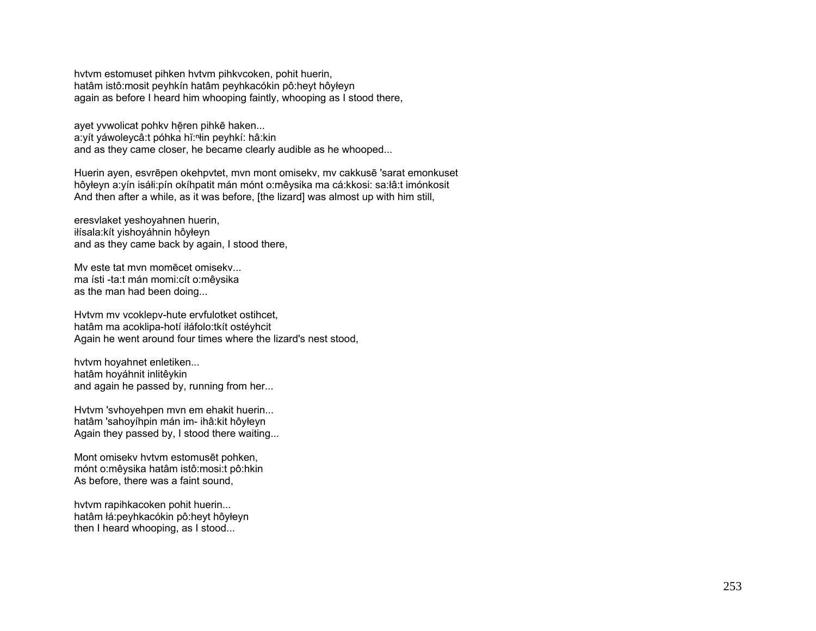hvtvm estomuset pihken hvtvm pihkvcoken, pohit huerin, hatâm istô:mosit peyhkín hatâm peyhkacókin pô:heyt hôyłeyn again as before I heard him whooping faintly, whooping as I stood there,

ayet yvwolicat pohkv hēren pihkē haken... a: yít yáwoleycâ:t póhka hǐ: ʰłin peyhkí: hâ: kin and as they came closer, he became clearly audible as he whooped...

Huerin ayen, esvrēpen okehpvtet, mvn mont omisekv, mv cakkusē 'sarat emonkuset hôyłeyn a:yín isáłi:pín okíhpatit mán mónt o:mêysika ma cá:kkosi: sa:łâ:t imónkosit And then after a while, as it was before, [the lizard] was almost up with him still,

eresvlaket yeshoyahnen huerin, iłísala:kít yishoyáhnin hôyłeyn and as they came back by again, I stood there,

Mv este tat mvn momēcet omisekv... ma ísti -ta:t mán momi:cít o:mêysika as the man had been doing...

Hvtvm mv vcoklepv-hute ervfulotket ostihcet, hatâm ma acoklipa-hotí iłáfolo:tkít ostéyhcit Again he went around four times where the lizard's nest stood,

hvtvm hoyahnet enletiken... hatâm hoyáhnit inlitêykin and again he passed by, running from her...

Hvtvm 'svhoyehpen mvn em ehakit huerin... hatâm 'sahoyíhpin mán im- ihâ:kit hôyłeyn Again they passed by, I stood there waiting...

Mont omisekv hvtvm estomusēt pohken, mónt o:mêysika hatâm istô:mosi:t pô:hkin As before, there was a faint sound,

hvtvm rapihkacoken pohit huerin... hatâm łá:peyhkacókin pô:heyt hôyłeyn then I heard whooping, as I stood...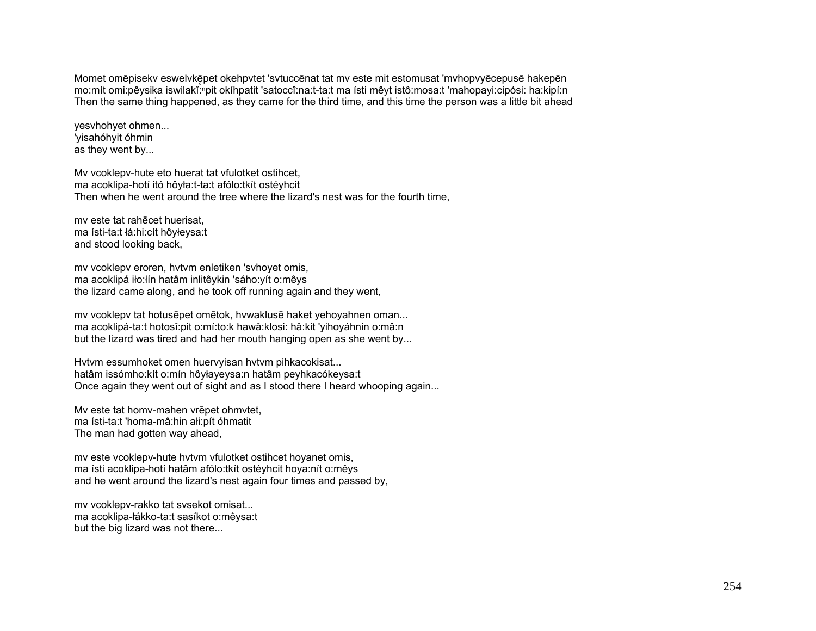Momet omēpisekv eswelvkēpet okehpvtet 'svtuccēnat tat mv este mit estomusat 'mvhopvyēcepusē hakepēn mo:mít omi:pêysika iswilakĭ:npit okíhpatit 'satoccî:na:t-ta:t ma ísti mêyt istô:mosa:t 'mahopayi:cipósi: ha:kipí:n Then the same thing happened, as they came for the third time, and this time the person was a little bit ahead

yesvhohyet ohmen... 'yisahóhyit óhmin as they went by...

Mv vcoklepv-hute eto huerat tat vfulotket ostihcet, ma acoklipa-hotí itó hôyła:t-ta:t afólo:tkít ostéyhcit Then when he went around the tree where the lizard's nest was for the fourth time,

mv este tat rahēcet huerisat, ma ísti-ta:t łá:hi:cít hôyłeysa:t and stood looking back,

mv vcoklepv eroren, hvtvm enletiken 'svhoyet omis, ma acoklipá iło:łín hatâm inlitêykin 'sáho:yít o:mêys the lizard came along, and he took off running again and they went,

mv vcoklepv tat hotusēpet omētok, hvwaklusē haket yehoyahnen oman... ma acoklipá-ta:t hotosî:pit o:mí:to:k hawâ:klosi: hâ:kit 'yihoyáhnin o:mâ:n but the lizard was tired and had her mouth hanging open as she went by...

Hvtvm essumhoket omen huervyisan hvtvm pihkacokisat... hatâm issómho:kít o:mín hôyłayeysa:n hatâm peyhkacókeysa:t Once again they went out of sight and as I stood there I heard whooping again...

Mv este tat homv-mahen vrēpet ohmvtet, ma ísti-ta:t 'homa-mâ:hin ałi:pít óhmatit The man had gotten way ahead,

mv este vcoklepv-hute hvtvm vfulotket ostihcet hoyanet omis, ma ísti acoklipa-hotí hatâm afólo:tkít ostéyhcit hoya:nít o:mêys and he went around the lizard's nest again four times and passed by,

mv vcoklepv-rakko tat svsekot omisat... ma acoklipa-łákko-ta:t sasíkot o:mêysa:t but the big lizard was not there...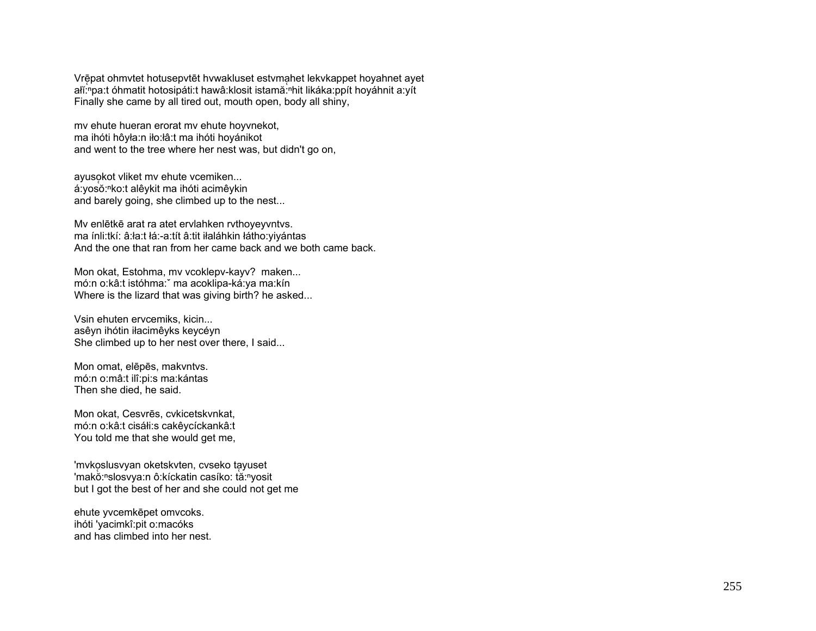Vrē̞pat ohmvtet hotusepvtēt hvwakluset estvma̞het lekvkappet hoyahnet ayet alĭ: "pa:t óhmatit hotosipáti:t hawâ:klosit istamă: "hit likáka: ppít hoyáhnit a: yít Finally she came by all tired out, mouth open, body all shiny,

mv ehute hueran erorat mv ehute hoyvnekot, ma ihóti hôyła:n iło:łâ:t ma ihóti hoyánikot and went to the tree where her nest was, but didn't go on,

ayusokot vliket mv ehute vcemiken... á:yosŏ:<sup>ⁿ</sup>ko:t alêykit ma ihóti acimêykin and barely going, she climbed up to the nest...

Mv enlētkē arat ra atet ervlahken rvthoyeyvntvs. ma ínli:tkí: â:ła:t łá:-a:tít â:tit iłaláhkin łátho:yiyántas And the one that ran from her came back and we both came back.

Mon okat, Estohma, mv vcoklepv-kayv? maken... mó:n o:kâ:t istóhma:ˇ ma acoklipa-ká:ya ma:kín Where is the lizard that was giving birth? he asked...

Vsin ehuten ervcemiks, kicin... asêyn ihótin iłacimêyks keycéyn She climbed up to her nest over there, I said...

Mon omat, elēpēs, makvntvs. mó:n o:mâ:t ilî:pi:s ma:kántas Then she died, he said.

Mon okat, Cesvrēs, cvkicetskvnkat, mó:n o:kâ:t cisáłi:s cakêycíckankâ:t You told me that she would get me,

'mvkoslusvyan oketskvten, cvseko tąyuset 'makŏ:<sup>ⁿ</sup>slosvya:n ô:kíckatin casíko: tă:<sup>ⁿ</sup>yosit but I got the best of her and she could not get me

ehute yvcemkēpet omvcoks. ihóti 'yacimkî:pit o:macóks and has climbed into her nest.